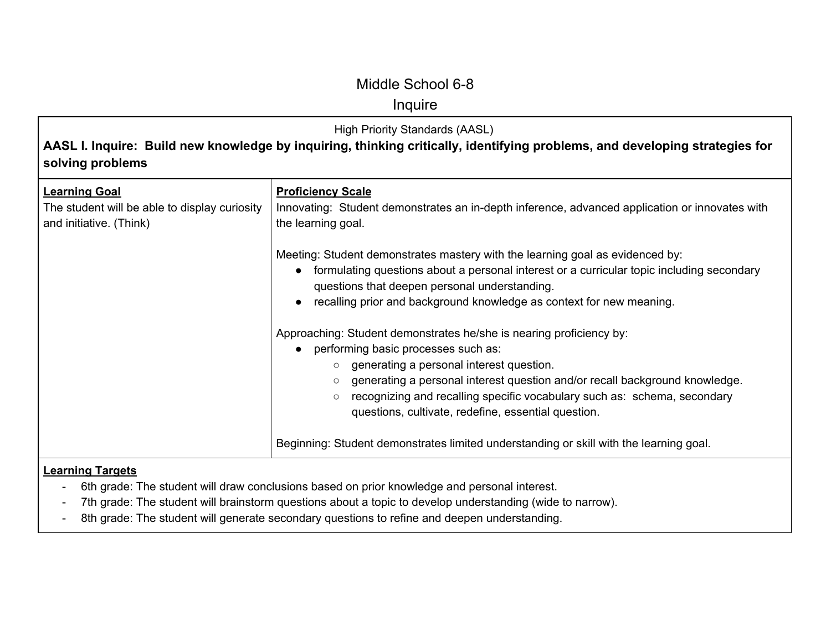# Inquire

| <b>High Priority Standards (AASL)</b><br>AASL I. Inquire: Build new knowledge by inquiring, thinking critically, identifying problems, and developing strategies for<br>solving problems |                                                                                                                                                                                                                                                                                                                                                                                                           |
|------------------------------------------------------------------------------------------------------------------------------------------------------------------------------------------|-----------------------------------------------------------------------------------------------------------------------------------------------------------------------------------------------------------------------------------------------------------------------------------------------------------------------------------------------------------------------------------------------------------|
| <b>Learning Goal</b><br>The student will be able to display curiosity<br>and initiative. (Think)                                                                                         | <b>Proficiency Scale</b><br>Innovating: Student demonstrates an in-depth inference, advanced application or innovates with<br>the learning goal.                                                                                                                                                                                                                                                          |
|                                                                                                                                                                                          | Meeting: Student demonstrates mastery with the learning goal as evidenced by:<br>formulating questions about a personal interest or a curricular topic including secondary<br>questions that deepen personal understanding.<br>recalling prior and background knowledge as context for new meaning.                                                                                                       |
|                                                                                                                                                                                          | Approaching: Student demonstrates he/she is nearing proficiency by:<br>performing basic processes such as:<br>generating a personal interest question.<br>$\circ$<br>generating a personal interest question and/or recall background knowledge.<br>$\circ$<br>recognizing and recalling specific vocabulary such as: schema, secondary<br>$\circ$<br>questions, cultivate, redefine, essential question. |
| <b>Learning Targets</b>                                                                                                                                                                  | Beginning: Student demonstrates limited understanding or skill with the learning goal.<br>6th grade: The student will draw conclusions based on prior knowledge and personal interest.                                                                                                                                                                                                                    |

- 7th grade: The student will brainstorm questions about a topic to develop understanding (wide to narrow).
- 8th grade: The student will generate secondary questions to refine and deepen understanding.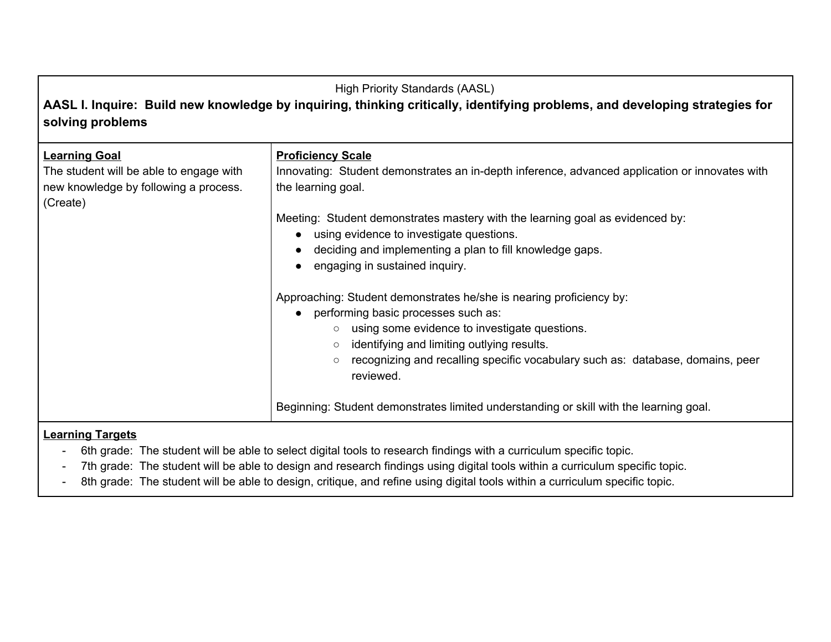**AASL I. Inquire: Build new knowledge by inquiring, thinking critically, identifying problems, and developing strategies for solving problems**

| <b>Learning Goal</b><br>The student will be able to engage with<br>new knowledge by following a process.<br>(Create) | <b>Proficiency Scale</b><br>Innovating: Student demonstrates an in-depth inference, advanced application or innovates with<br>the learning goal.                                                                                                                                                                                          |
|----------------------------------------------------------------------------------------------------------------------|-------------------------------------------------------------------------------------------------------------------------------------------------------------------------------------------------------------------------------------------------------------------------------------------------------------------------------------------|
|                                                                                                                      | Meeting: Student demonstrates mastery with the learning goal as evidenced by:<br>using evidence to investigate questions.<br>deciding and implementing a plan to fill knowledge gaps.<br>engaging in sustained inquiry.                                                                                                                   |
|                                                                                                                      | Approaching: Student demonstrates he/she is nearing proficiency by:<br>performing basic processes such as:<br>using some evidence to investigate questions.<br>$\circ$<br>identifying and limiting outlying results.<br>$\circ$<br>recognizing and recalling specific vocabulary such as: database, domains, peer<br>$\circ$<br>reviewed. |
|                                                                                                                      | Beginning: Student demonstrates limited understanding or skill with the learning goal.                                                                                                                                                                                                                                                    |

- 6th grade: The student will be able to select digital tools to research findings with a curriculum specific topic.
- 7th grade: The student will be able to design and research findings using digital tools within a curriculum specific topic.
- 8th grade: The student will be able to design, critique, and refine using digital tools within a curriculum specific topic.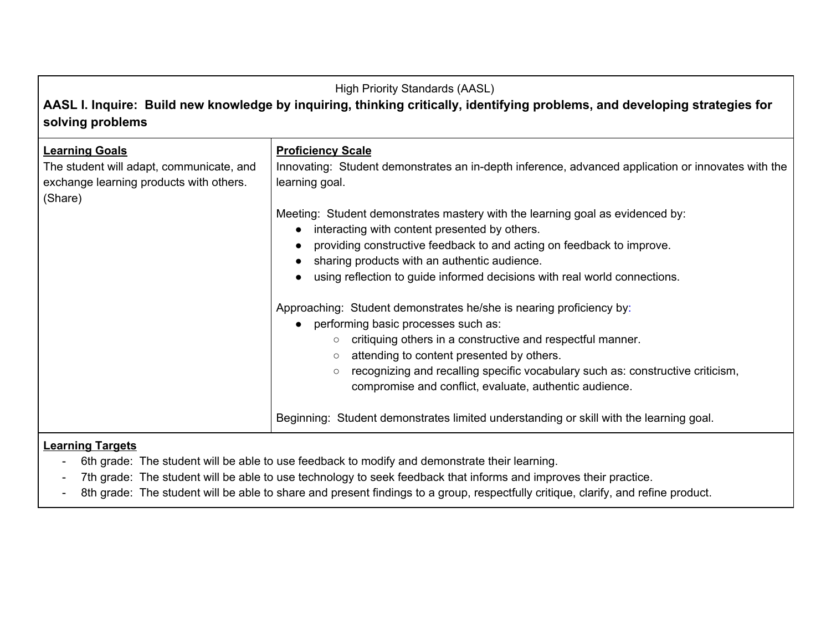**AASL I. Inquire: Build new knowledge by inquiring, thinking critically, identifying problems, and developing strategies for solving problems**

| <b>Learning Goals</b><br>The student will adapt, communicate, and<br>exchange learning products with others.<br>(Share) | <b>Proficiency Scale</b><br>Innovating: Student demonstrates an in-depth inference, advanced application or innovates with the<br>learning goal. |
|-------------------------------------------------------------------------------------------------------------------------|--------------------------------------------------------------------------------------------------------------------------------------------------|
|                                                                                                                         | Meeting: Student demonstrates mastery with the learning goal as evidenced by:                                                                    |
|                                                                                                                         | interacting with content presented by others.                                                                                                    |
|                                                                                                                         | providing constructive feedback to and acting on feedback to improve.                                                                            |
|                                                                                                                         | sharing products with an authentic audience.                                                                                                     |
|                                                                                                                         | using reflection to guide informed decisions with real world connections.                                                                        |
|                                                                                                                         |                                                                                                                                                  |
|                                                                                                                         | Approaching: Student demonstrates he/she is nearing proficiency by:                                                                              |
|                                                                                                                         | performing basic processes such as:                                                                                                              |
|                                                                                                                         | critiquing others in a constructive and respectful manner.<br>$\circ$                                                                            |
|                                                                                                                         | attending to content presented by others.<br>$\circlearrowright$                                                                                 |
|                                                                                                                         | recognizing and recalling specific vocabulary such as: constructive criticism,                                                                   |
|                                                                                                                         | compromise and conflict, evaluate, authentic audience.                                                                                           |
|                                                                                                                         |                                                                                                                                                  |
|                                                                                                                         | Beginning: Student demonstrates limited understanding or skill with the learning goal.                                                           |
|                                                                                                                         |                                                                                                                                                  |

- 6th grade: The student will be able to use feedback to modify and demonstrate their learning.
- 7th grade: The student will be able to use technology to seek feedback that informs and improves their practice.
- 8th grade: The student will be able to share and present findings to a group, respectfully critique, clarify, and refine product.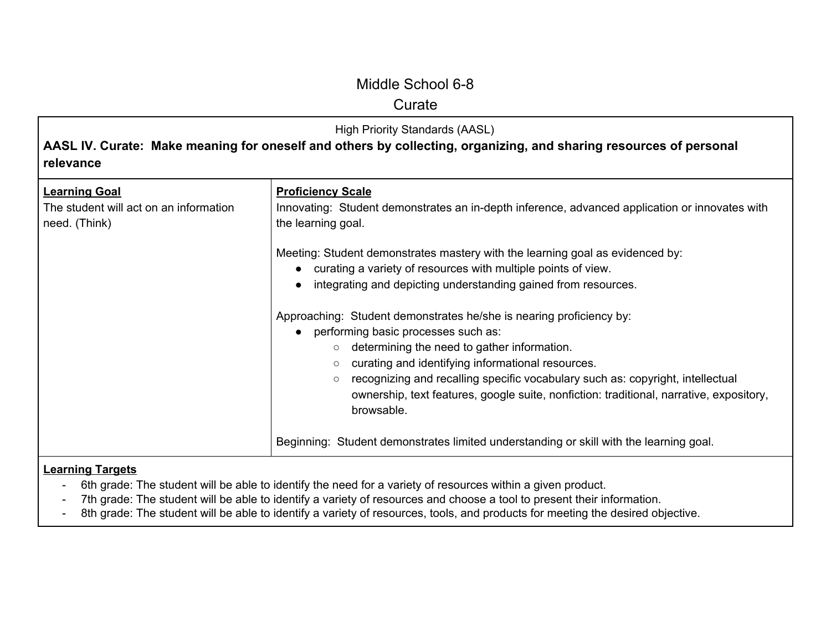### **Curate**

| High Priority Standards (AASL)<br>AASL IV. Curate: Make meaning for oneself and others by collecting, organizing, and sharing resources of personal<br>relevance |                                                                                                                                                                                                                                                                                                                                                                                                         |
|------------------------------------------------------------------------------------------------------------------------------------------------------------------|---------------------------------------------------------------------------------------------------------------------------------------------------------------------------------------------------------------------------------------------------------------------------------------------------------------------------------------------------------------------------------------------------------|
| <b>Learning Goal</b><br>The student will act on an information<br>need. (Think)                                                                                  | <b>Proficiency Scale</b><br>Innovating: Student demonstrates an in-depth inference, advanced application or innovates with<br>the learning goal.                                                                                                                                                                                                                                                        |
|                                                                                                                                                                  | Meeting: Student demonstrates mastery with the learning goal as evidenced by:<br>curating a variety of resources with multiple points of view.<br>$\bullet$<br>integrating and depicting understanding gained from resources.<br>Approaching: Student demonstrates he/she is nearing proficiency by:<br>performing basic processes such as:<br>$\bullet$<br>determining the need to gather information. |
|                                                                                                                                                                  | curating and identifying informational resources.<br>$\circlearrowright$<br>recognizing and recalling specific vocabulary such as: copyright, intellectual<br>$\circlearrowright$<br>ownership, text features, google suite, nonfiction: traditional, narrative, expository,<br>browsable.                                                                                                              |
|                                                                                                                                                                  | Beginning: Student demonstrates limited understanding or skill with the learning goal.                                                                                                                                                                                                                                                                                                                  |

- 6th grade: The student will be able to identify the need for a variety of resources within a given product.
- 7th grade: The student will be able to identify a variety of resources and choose a tool to present their information.
- 8th grade: The student will be able to identify a variety of resources, tools, and products for meeting the desired objective.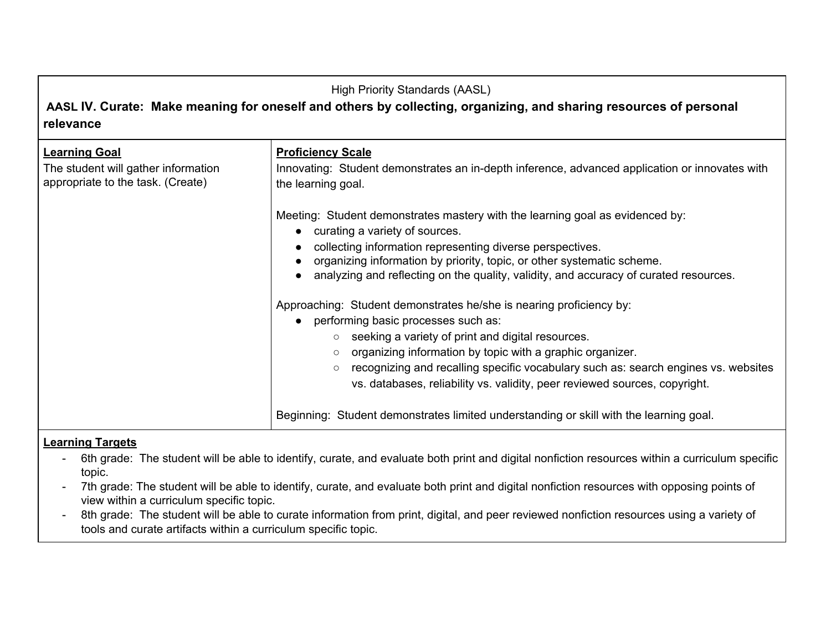**AASL IV. Curate: Make meaning for oneself and others by collecting, organizing, and sharing resources of personal relevance**

| <b>Learning Goal</b><br>The student will gather information<br>appropriate to the task. (Create) | <b>Proficiency Scale</b><br>Innovating: Student demonstrates an in-depth inference, advanced application or innovates with<br>the learning goal.                                                                                                                                                                                                                                                                                  |
|--------------------------------------------------------------------------------------------------|-----------------------------------------------------------------------------------------------------------------------------------------------------------------------------------------------------------------------------------------------------------------------------------------------------------------------------------------------------------------------------------------------------------------------------------|
|                                                                                                  | Meeting: Student demonstrates mastery with the learning goal as evidenced by:<br>curating a variety of sources.<br>collecting information representing diverse perspectives.<br>organizing information by priority, topic, or other systematic scheme.<br>analyzing and reflecting on the quality, validity, and accuracy of curated resources.                                                                                   |
|                                                                                                  | Approaching: Student demonstrates he/she is nearing proficiency by:<br>performing basic processes such as:<br>seeking a variety of print and digital resources.<br>$\circ$<br>organizing information by topic with a graphic organizer.<br>$\circ$<br>recognizing and recalling specific vocabulary such as: search engines vs. websites<br>$\circ$<br>vs. databases, reliability vs. validity, peer reviewed sources, copyright. |
|                                                                                                  | Beginning: Student demonstrates limited understanding or skill with the learning goal.                                                                                                                                                                                                                                                                                                                                            |

- 6th grade: The student will be able to identify, curate, and evaluate both print and digital nonfiction resources within a curriculum specific topic.
- 7th grade: The student will be able to identify, curate, and evaluate both print and digital nonfiction resources with opposing points of view within a curriculum specific topic.
- 8th grade: The student will be able to curate information from print, digital, and peer reviewed nonfiction resources using a variety of tools and curate artifacts within a curriculum specific topic.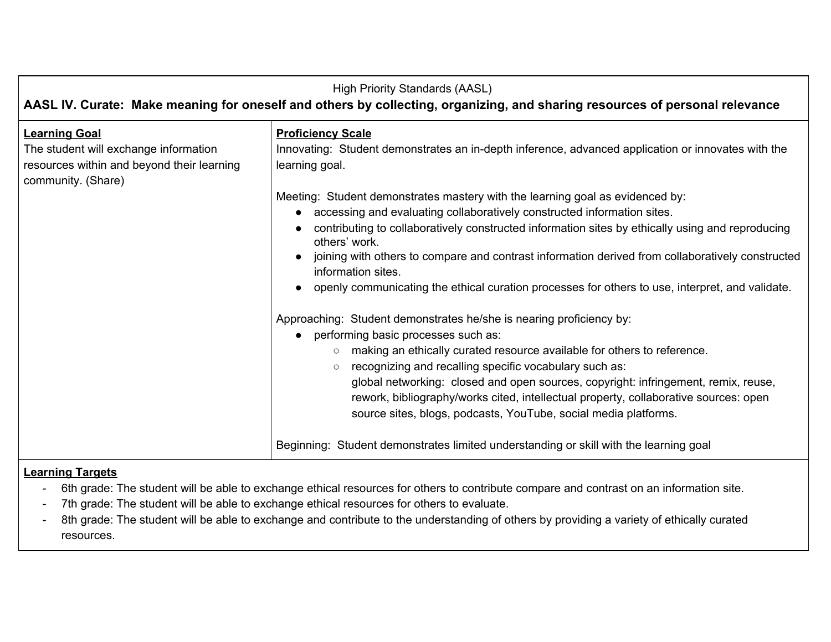| <b>High Priority Standards (AASL)</b><br>AASL IV. Curate: Make meaning for oneself and others by collecting, organizing, and sharing resources of personal relevance                                                                                                                                                                                                                                                                                                                                                                                                                                 |  |
|------------------------------------------------------------------------------------------------------------------------------------------------------------------------------------------------------------------------------------------------------------------------------------------------------------------------------------------------------------------------------------------------------------------------------------------------------------------------------------------------------------------------------------------------------------------------------------------------------|--|
| <b>Proficiency Scale</b><br>Innovating: Student demonstrates an in-depth inference, advanced application or innovates with the<br>learning goal.                                                                                                                                                                                                                                                                                                                                                                                                                                                     |  |
| Meeting: Student demonstrates mastery with the learning goal as evidenced by:<br>accessing and evaluating collaboratively constructed information sites.<br>contributing to collaboratively constructed information sites by ethically using and reproducing<br>others' work.<br>joining with others to compare and contrast information derived from collaboratively constructed<br>information sites.<br>openly communicating the ethical curation processes for others to use, interpret, and validate.                                                                                           |  |
| Approaching: Student demonstrates he/she is nearing proficiency by:<br>performing basic processes such as:<br>making an ethically curated resource available for others to reference.<br>recognizing and recalling specific vocabulary such as:<br>$\circ$<br>global networking: closed and open sources, copyright: infringement, remix, reuse,<br>rework, bibliography/works cited, intellectual property, collaborative sources: open<br>source sites, blogs, podcasts, YouTube, social media platforms.<br>Beginning: Student demonstrates limited understanding or skill with the learning goal |  |
|                                                                                                                                                                                                                                                                                                                                                                                                                                                                                                                                                                                                      |  |

- 6th grade: The student will be able to exchange ethical resources for others to contribute compare and contrast on an information site.
- 7th grade: The student will be able to exchange ethical resources for others to evaluate.
- 8th grade: The student will be able to exchange and contribute to the understanding of others by providing a variety of ethically curated resources.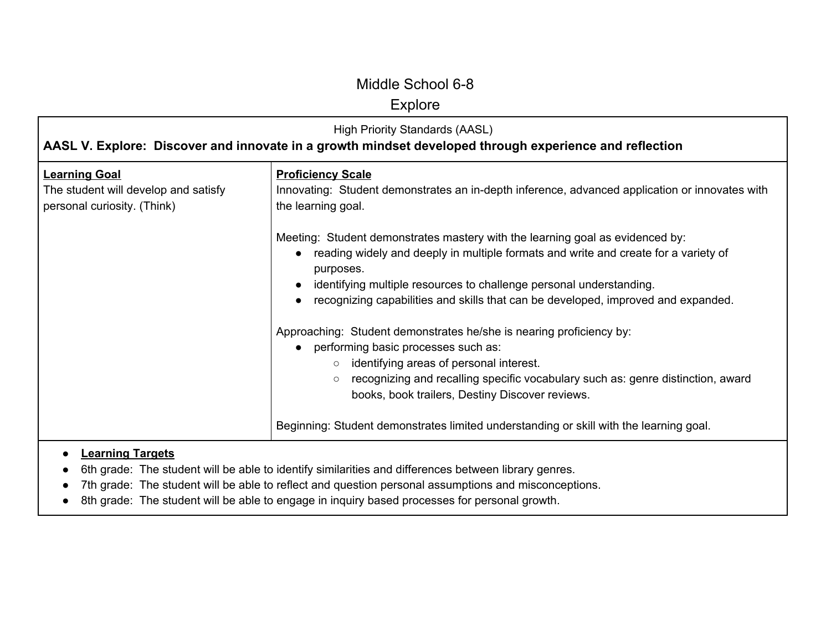# Explore

| <b>High Priority Standards (AASL)</b><br>AASL V. Explore: Discover and innovate in a growth mindset developed through experience and reflection |                                                                                                                                                                                                                                                                                                                                               |
|-------------------------------------------------------------------------------------------------------------------------------------------------|-----------------------------------------------------------------------------------------------------------------------------------------------------------------------------------------------------------------------------------------------------------------------------------------------------------------------------------------------|
| <b>Learning Goal</b><br>The student will develop and satisfy<br>personal curiosity. (Think)                                                     | <b>Proficiency Scale</b><br>Innovating: Student demonstrates an in-depth inference, advanced application or innovates with<br>the learning goal.                                                                                                                                                                                              |
|                                                                                                                                                 | Meeting: Student demonstrates mastery with the learning goal as evidenced by:<br>reading widely and deeply in multiple formats and write and create for a variety of<br>purposes.<br>identifying multiple resources to challenge personal understanding.<br>recognizing capabilities and skills that can be developed, improved and expanded. |
|                                                                                                                                                 | Approaching: Student demonstrates he/she is nearing proficiency by:<br>performing basic processes such as:<br>identifying areas of personal interest.<br>$\circ$<br>recognizing and recalling specific vocabulary such as: genre distinction, award<br>$\circ$<br>books, book trailers, Destiny Discover reviews.                             |
|                                                                                                                                                 | Beginning: Student demonstrates limited understanding or skill with the learning goal.                                                                                                                                                                                                                                                        |

- 6th grade: The student will be able to identify similarities and differences between library genres.
- 7th grade: The student will be able to reflect and question personal assumptions and misconceptions.
- 8th grade: The student will be able to engage in inquiry based processes for personal growth.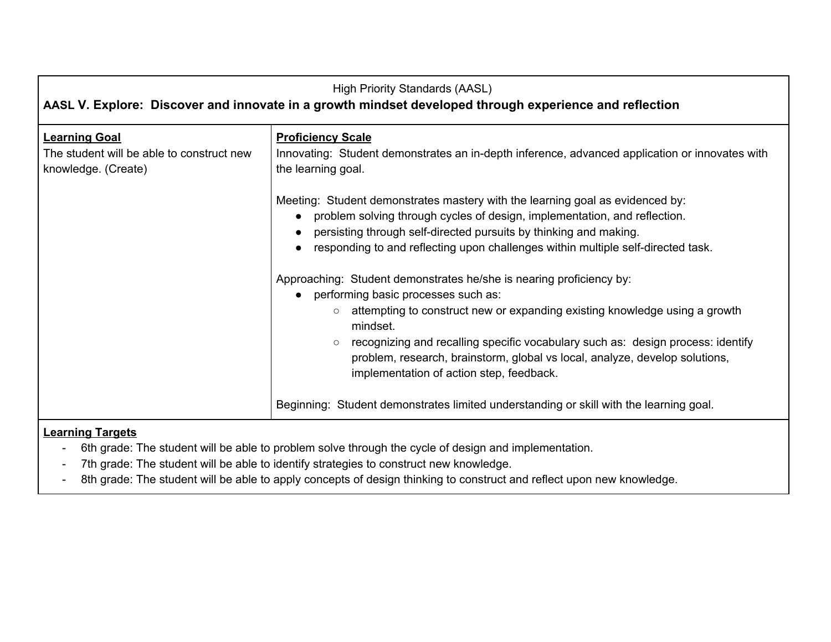| <b>High Priority Standards (AASL)</b><br>AASL V. Explore: Discover and innovate in a growth mindset developed through experience and reflection |                                                                                                                                                                                                                                                                                                                                                                                                                                                                                                                                                                                                                                                                                                                                                      |
|-------------------------------------------------------------------------------------------------------------------------------------------------|------------------------------------------------------------------------------------------------------------------------------------------------------------------------------------------------------------------------------------------------------------------------------------------------------------------------------------------------------------------------------------------------------------------------------------------------------------------------------------------------------------------------------------------------------------------------------------------------------------------------------------------------------------------------------------------------------------------------------------------------------|
| <b>Learning Goal</b><br>The student will be able to construct new<br>knowledge. (Create)                                                        | <b>Proficiency Scale</b><br>Innovating: Student demonstrates an in-depth inference, advanced application or innovates with<br>the learning goal.                                                                                                                                                                                                                                                                                                                                                                                                                                                                                                                                                                                                     |
|                                                                                                                                                 | Meeting: Student demonstrates mastery with the learning goal as evidenced by:<br>problem solving through cycles of design, implementation, and reflection.<br>persisting through self-directed pursuits by thinking and making.<br>responding to and reflecting upon challenges within multiple self-directed task.<br>Approaching: Student demonstrates he/she is nearing proficiency by:<br>performing basic processes such as:<br>attempting to construct new or expanding existing knowledge using a growth<br>$\circ$<br>mindset.<br>recognizing and recalling specific vocabulary such as: design process: identify<br>problem, research, brainstorm, global vs local, analyze, develop solutions,<br>implementation of action step, feedback. |
|                                                                                                                                                 | Beginning: Student demonstrates limited understanding or skill with the learning goal.                                                                                                                                                                                                                                                                                                                                                                                                                                                                                                                                                                                                                                                               |

 $\blacksquare$ 

- 6th grade: The student will be able to problem solve through the cycle of design and implementation.
- 7th grade: The student will be able to identify strategies to construct new knowledge.
- 8th grade: The student will be able to apply concepts of design thinking to construct and reflect upon new knowledge.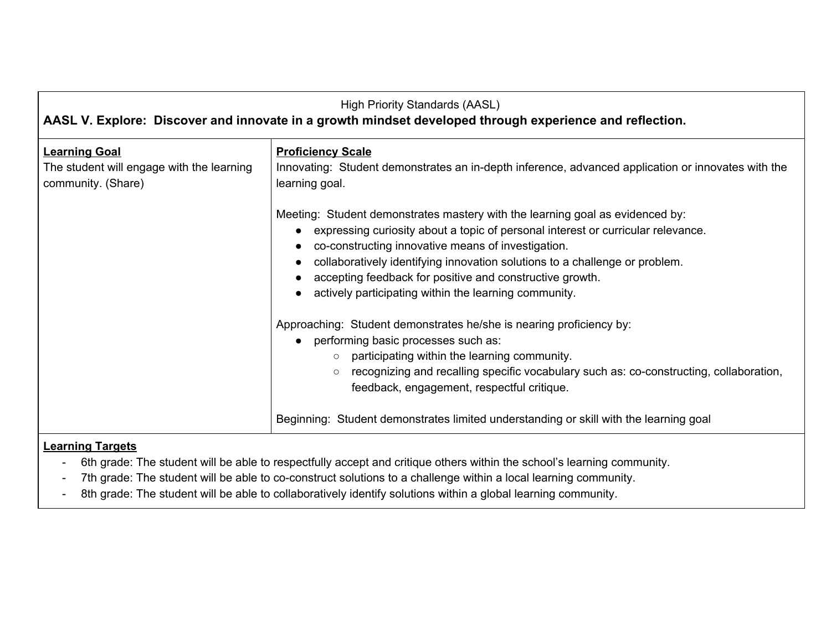| <b>High Priority Standards (AASL)</b><br>AASL V. Explore: Discover and innovate in a growth mindset developed through experience and reflection. |                                                                                                                                                                                                                                                                                                                                                                                                                               |  |
|--------------------------------------------------------------------------------------------------------------------------------------------------|-------------------------------------------------------------------------------------------------------------------------------------------------------------------------------------------------------------------------------------------------------------------------------------------------------------------------------------------------------------------------------------------------------------------------------|--|
| <b>Learning Goal</b><br>The student will engage with the learning<br>community. (Share)                                                          | <b>Proficiency Scale</b><br>Innovating: Student demonstrates an in-depth inference, advanced application or innovates with the<br>learning goal.                                                                                                                                                                                                                                                                              |  |
|                                                                                                                                                  | Meeting: Student demonstrates mastery with the learning goal as evidenced by:<br>• expressing curiosity about a topic of personal interest or curricular relevance.<br>co-constructing innovative means of investigation.<br>collaboratively identifying innovation solutions to a challenge or problem.<br>accepting feedback for positive and constructive growth.<br>actively participating within the learning community. |  |
|                                                                                                                                                  | Approaching: Student demonstrates he/she is nearing proficiency by:<br>performing basic processes such as:<br>$\bullet$<br>participating within the learning community.<br>$\circ$<br>recognizing and recalling specific vocabulary such as: co-constructing, collaboration,<br>feedback, engagement, respectful critique.                                                                                                    |  |
|                                                                                                                                                  | Beginning: Student demonstrates limited understanding or skill with the learning goal                                                                                                                                                                                                                                                                                                                                         |  |
| l a característic de la característic                                                                                                            |                                                                                                                                                                                                                                                                                                                                                                                                                               |  |

- 6th grade: The student will be able to respectfully accept and critique others within the school's learning community.
- 7th grade: The student will be able to co-construct solutions to a challenge within a local learning community.
- 8th grade: The student will be able to collaboratively identify solutions within a global learning community.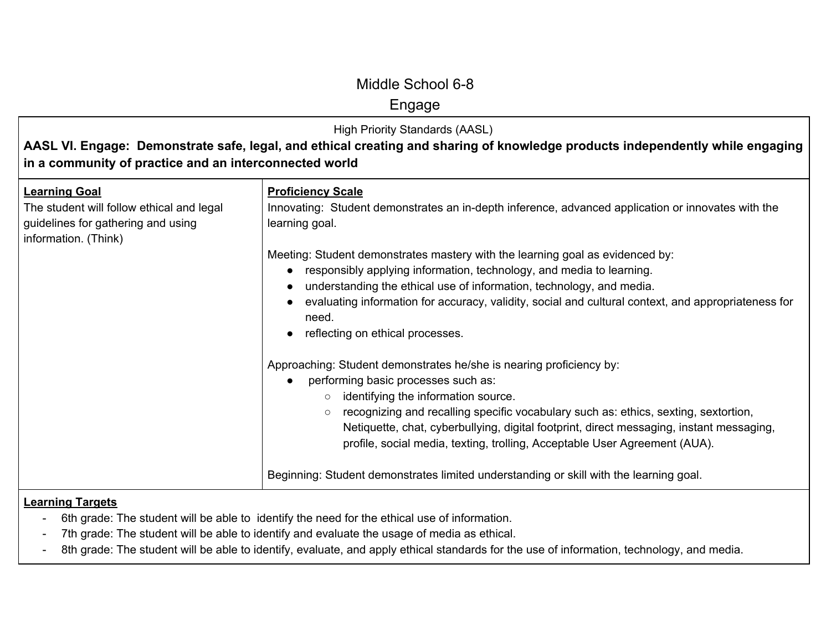## Engage

High Priority Standards (AASL)

**AASL VI. Engage: Demonstrate safe, legal, and ethical creating and sharing of knowledge products independently while engaging in a community of practice and an interconnected world**

| <b>Learning Goal</b><br>The student will follow ethical and legal<br>guidelines for gathering and using<br>information. (Think) | <b>Proficiency Scale</b><br>Innovating: Student demonstrates an in-depth inference, advanced application or innovates with the<br>learning goal.                                                                                                                                                                                                                                                                                         |
|---------------------------------------------------------------------------------------------------------------------------------|------------------------------------------------------------------------------------------------------------------------------------------------------------------------------------------------------------------------------------------------------------------------------------------------------------------------------------------------------------------------------------------------------------------------------------------|
|                                                                                                                                 | Meeting: Student demonstrates mastery with the learning goal as evidenced by:<br>responsibly applying information, technology, and media to learning.<br>understanding the ethical use of information, technology, and media.<br>evaluating information for accuracy, validity, social and cultural context, and appropriateness for<br>need.<br>reflecting on ethical processes.                                                        |
|                                                                                                                                 | Approaching: Student demonstrates he/she is nearing proficiency by:<br>performing basic processes such as:<br>identifying the information source.<br>$\circ$<br>recognizing and recalling specific vocabulary such as: ethics, sexting, sextortion,<br>$\circ$<br>Netiquette, chat, cyberbullying, digital footprint, direct messaging, instant messaging,<br>profile, social media, texting, trolling, Acceptable User Agreement (AUA). |
|                                                                                                                                 | Beginning: Student demonstrates limited understanding or skill with the learning goal.                                                                                                                                                                                                                                                                                                                                                   |

- 6th grade: The student will be able to identify the need for the ethical use of information.
- 7th grade: The student will be able to identify and evaluate the usage of media as ethical.
- 8th grade: The student will be able to identify, evaluate, and apply ethical standards for the use of information, technology, and media.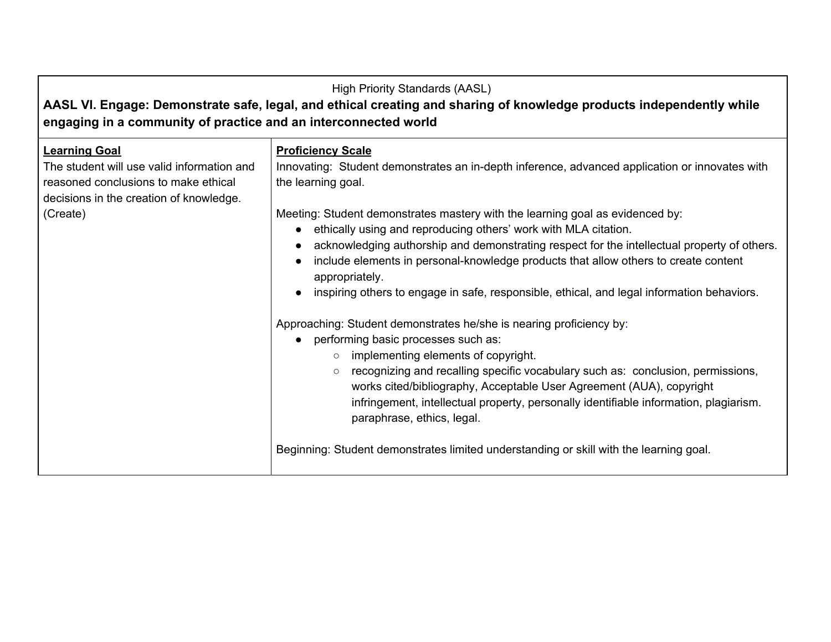| <b>High Priority Standards (AASL)</b><br>AASL VI. Engage: Demonstrate safe, legal, and ethical creating and sharing of knowledge products independently while<br>engaging in a community of practice and an interconnected world |                                                                                                                                                                                                                                                                                                                                                                                                                                                                        |  |
|----------------------------------------------------------------------------------------------------------------------------------------------------------------------------------------------------------------------------------|------------------------------------------------------------------------------------------------------------------------------------------------------------------------------------------------------------------------------------------------------------------------------------------------------------------------------------------------------------------------------------------------------------------------------------------------------------------------|--|
| <b>Learning Goal</b><br>The student will use valid information and<br>reasoned conclusions to make ethical<br>decisions in the creation of knowledge.                                                                            | <b>Proficiency Scale</b><br>Innovating: Student demonstrates an in-depth inference, advanced application or innovates with<br>the learning goal.                                                                                                                                                                                                                                                                                                                       |  |
| (Create)                                                                                                                                                                                                                         | Meeting: Student demonstrates mastery with the learning goal as evidenced by:<br>ethically using and reproducing others' work with MLA citation.<br>acknowledging authorship and demonstrating respect for the intellectual property of others.<br>include elements in personal-knowledge products that allow others to create content<br>appropriately.<br>inspiring others to engage in safe, responsible, ethical, and legal information behaviors.                 |  |
|                                                                                                                                                                                                                                  | Approaching: Student demonstrates he/she is nearing proficiency by:<br>performing basic processes such as:<br>$\bullet$<br>implementing elements of copyright.<br>$\circ$<br>recognizing and recalling specific vocabulary such as: conclusion, permissions,<br>$\circ$<br>works cited/bibliography, Acceptable User Agreement (AUA), copyright<br>infringement, intellectual property, personally identifiable information, plagiarism.<br>paraphrase, ethics, legal. |  |
|                                                                                                                                                                                                                                  | Beginning: Student demonstrates limited understanding or skill with the learning goal.                                                                                                                                                                                                                                                                                                                                                                                 |  |

 $\blacksquare$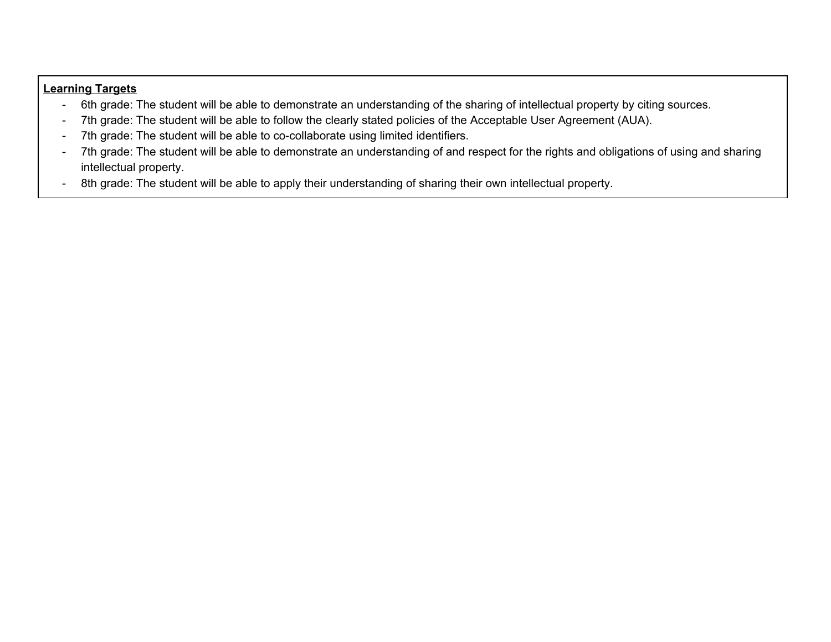- 6th grade: The student will be able to demonstrate an understanding of the sharing of intellectual property by citing sources.
- 7th grade: The student will be able to follow the clearly stated policies of the Acceptable User Agreement (AUA).
- 7th grade: The student will be able to co-collaborate using limited identifiers.
- 7th grade: The student will be able to demonstrate an understanding of and respect for the rights and obligations of using and sharing intellectual property.
- 8th grade: The student will be able to apply their understanding of sharing their own intellectual property.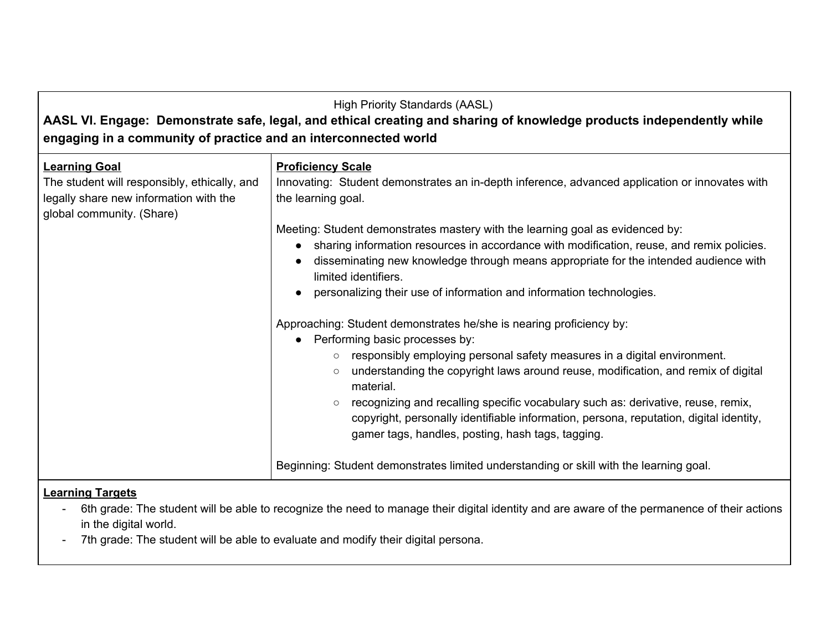## **AASL VI. Engage: Demonstrate safe, legal, and ethical creating and sharing of knowledge products independently while engaging in a community of practice and an interconnected world**

| <b>Learning Goal</b><br>The student will responsibly, ethically, and<br>legally share new information with the<br>global community. (Share) | <b>Proficiency Scale</b><br>Innovating: Student demonstrates an in-depth inference, advanced application or innovates with<br>the learning goal.                                                                                                                                                                                                                                                                                                                                                                                                                                                                                             |
|---------------------------------------------------------------------------------------------------------------------------------------------|----------------------------------------------------------------------------------------------------------------------------------------------------------------------------------------------------------------------------------------------------------------------------------------------------------------------------------------------------------------------------------------------------------------------------------------------------------------------------------------------------------------------------------------------------------------------------------------------------------------------------------------------|
|                                                                                                                                             | Meeting: Student demonstrates mastery with the learning goal as evidenced by:<br>sharing information resources in accordance with modification, reuse, and remix policies.<br>disseminating new knowledge through means appropriate for the intended audience with<br>limited identifiers.                                                                                                                                                                                                                                                                                                                                                   |
|                                                                                                                                             | personalizing their use of information and information technologies.<br>Approaching: Student demonstrates he/she is nearing proficiency by:<br>Performing basic processes by:<br>$\bullet$<br>responsibly employing personal safety measures in a digital environment.<br>$\circ$<br>understanding the copyright laws around reuse, modification, and remix of digital<br>$\circ$<br>material.<br>recognizing and recalling specific vocabulary such as: derivative, reuse, remix,<br>$\circ$<br>copyright, personally identifiable information, persona, reputation, digital identity,<br>gamer tags, handles, posting, hash tags, tagging. |
|                                                                                                                                             | Beginning: Student demonstrates limited understanding or skill with the learning goal.                                                                                                                                                                                                                                                                                                                                                                                                                                                                                                                                                       |
| <b>Learning Targets</b>                                                                                                                     |                                                                                                                                                                                                                                                                                                                                                                                                                                                                                                                                                                                                                                              |

- 6th grade: The student will be able to recognize the need to manage their digital identity and are aware of the permanence of their actions in the digital world.
- 7th grade: The student will be able to evaluate and modify their digital persona.